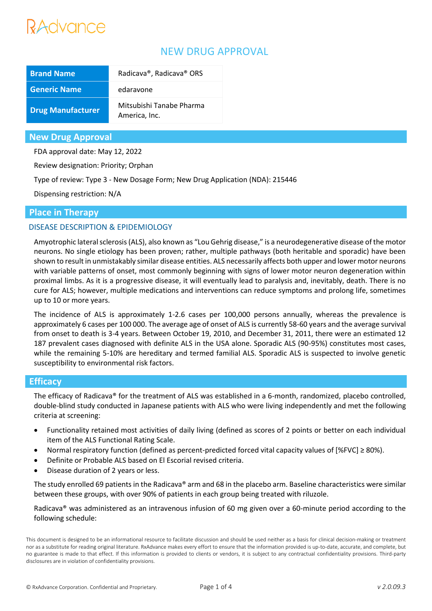# Advance

# NEW DRUG APPROVAL

| <b>Brand Name</b>        | Radicava®, Radicava® ORS                  |
|--------------------------|-------------------------------------------|
| <b>Generic Name</b>      | edaravone                                 |
| <b>Drug Manufacturer</b> | Mitsubishi Tanabe Pharma<br>America, Inc. |

## **New Drug Approval**

FDA approval date: May 12, 2022

Review designation: Priority; Orphan

Type of review: Type 3 - New Dosage Form; New Drug Application (NDA): 215446

Dispensing restriction: N/A

# **Place in Therapy**

## DISEASE DESCRIPTION & EPIDEMIOLOGY

Amyotrophic lateral sclerosis (ALS), also known as "Lou Gehrig disease," is a neurodegenerative disease of the motor neurons. No single etiology has been proven; rather, multiple pathways (both heritable and sporadic) have been shown to result in unmistakably similar disease entities. ALS necessarily affects both upper and lower motor neurons with variable patterns of onset, most commonly beginning with signs of lower motor neuron degeneration within proximal limbs. As it is a progressive disease, it will eventually lead to paralysis and, inevitably, death. There is no cure for ALS; however, multiple medications and interventions can reduce symptoms and prolong life, sometimes up to 10 or more years.

The incidence of ALS is approximately 1-2.6 cases per 100,000 persons annually, whereas the prevalence is approximately 6 cases per 100 000. The average age of onset of ALS is currently 58-60 years and the average survival from onset to death is 3-4 years. Between October 19, 2010, and December 31, 2011, there were an estimated 12 187 prevalent cases diagnosed with definite ALS in the USA alone. Sporadic ALS (90-95%) constitutes most cases, while the remaining 5-10% are hereditary and termed familial ALS. Sporadic ALS is suspected to involve genetic susceptibility to environmental risk factors.

## **Efficacy**

The efficacy of Radicava® for the treatment of ALS was established in a 6-month, randomized, placebo controlled, double-blind study conducted in Japanese patients with ALS who were living independently and met the following criteria at screening:

- Functionality retained most activities of daily living (defined as scores of 2 points or better on each individual item of the ALS Functional Rating Scale.
- Normal respiratory function (defined as percent-predicted forced vital capacity values of [%FVC] ≥ 80%).
- Definite or Probable ALS based on El Escorial revised criteria.
- Disease duration of 2 years or less.

The study enrolled 69 patients in the Radicava® arm and 68 in the placebo arm. Baseline characteristics were similar between these groups, with over 90% of patients in each group being treated with riluzole.

Radicava® was administered as an intravenous infusion of 60 mg given over a 60-minute period according to the following schedule: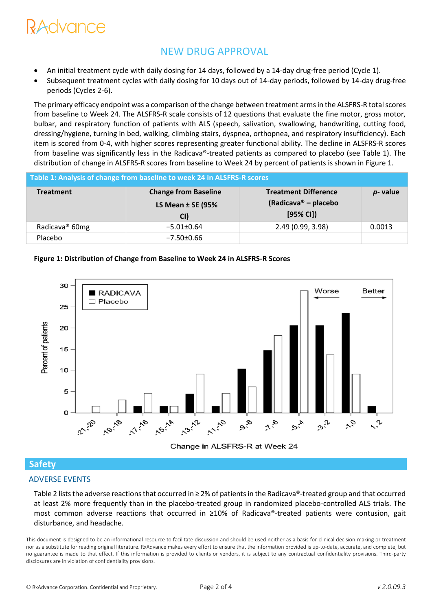# NVANCA

# NEW DRUG APPROVAL

- An initial treatment cycle with daily dosing for 14 days, followed by a 14-day drug-free period (Cycle 1).
- Subsequent treatment cycles with daily dosing for 10 days out of 14-day periods, followed by 14-day drug-free periods (Cycles 2-6).

The primary efficacy endpoint was a comparison of the change between treatment arms in the ALSFRS-R total scores from baseline to Week 24. The ALSFRS-R scale consists of 12 questions that evaluate the fine motor, gross motor, bulbar, and respiratory function of patients with ALS (speech, salivation, swallowing, handwriting, cutting food, dressing/hygiene, turning in bed, walking, climbing stairs, dyspnea, orthopnea, and respiratory insufficiency). Each item is scored from 0-4, with higher scores representing greater functional ability. The decline in ALSFRS-R scores from baseline was significantly less in the Radicava®-treated patients as compared to placebo (see Table 1). The distribution of change in ALSFRS-R scores from baseline to Week 24 by percent of patients is shown in Figure 1.

| Table 1: Analysis of change from baseline to week 24 in ALSFRS-R scores |                                                           |                                                                 |             |  |
|-------------------------------------------------------------------------|-----------------------------------------------------------|-----------------------------------------------------------------|-------------|--|
| <b>Treatment</b>                                                        | <b>Change from Baseline</b><br>LS Mean $±$ SE (95%<br>CI) | <b>Treatment Difference</b><br>(Radicava® – placebo<br>[95% CI] | $p$ - value |  |
| Radicava <sup>®</sup> 60mg                                              | $-5.01 \pm 0.64$                                          | 2.49 (0.99, 3.98)                                               | 0.0013      |  |
| Placebo                                                                 | $-7.50{\pm}0.66$                                          |                                                                 |             |  |

#### **Figure 1: Distribution of Change from Baseline to Week 24 in ALSFRS-R Scores**



# **Safety**

## ADVERSE EVENTS

Table 2 lists the adverse reactions that occurred in ≥ 2% of patients in the Radicava®-treated group and that occurred at least 2% more frequently than in the placebo-treated group in randomized placebo-controlled ALS trials. The most common adverse reactions that occurred in ≥10% of Radicava®-treated patients were contusion, gait disturbance, and headache.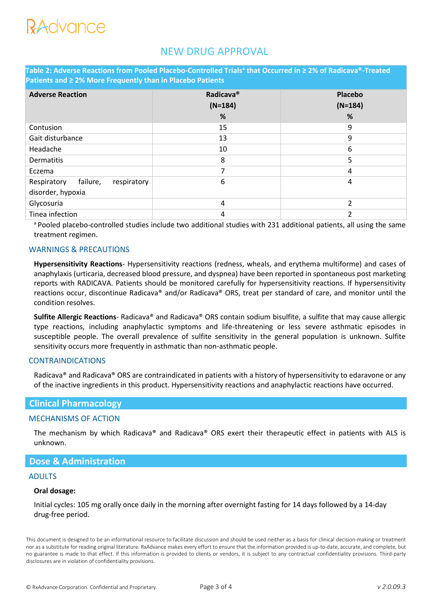# RAdvance

# NEW DRUG APPROVAL

**Table 2: Adverse Reactions from Pooled Placebo-Controlled Trials<sup>a</sup> that Occurred in ≥ 2% of Radicava®-Treated Patients and ≥ 2% More Frequently than in Placebo Patients**

| <b>Adverse Reaction</b>                                     | Radicava <sup>®</sup><br>$(N=184)$<br>% | Placebo<br>$(N=184)$<br>% |
|-------------------------------------------------------------|-----------------------------------------|---------------------------|
| Contusion                                                   | 15                                      | 9                         |
| Gait disturbance                                            | 13                                      | 9                         |
| Headache                                                    | 10                                      | 6                         |
| Dermatitis                                                  | 8                                       | 5                         |
| Eczema                                                      | 7                                       | $\overline{4}$            |
| Respiratory<br>failure,<br>respiratory<br>disorder, hypoxia | 6                                       | 4                         |
| Glycosuria                                                  | 4                                       | $\overline{\phantom{a}}$  |
| Tinea infection                                             | 4                                       | ำ                         |

a Pooled placebo-controlled studies include two additional studies with 231 additional patients, all using the same treatment regimen.

#### WARNINGS & PRECAUTIONS

**Hypersensitivity Reactions**- Hypersensitivity reactions (redness, wheals, and erythema multiforme) and cases of anaphylaxis (urticaria, decreased blood pressure, and dyspnea) have been reported in spontaneous post marketing reports with RADICAVA. Patients should be monitored carefully for hypersensitivity reactions. If hypersensitivity reactions occur, discontinue Radicava® and/or Radicava® ORS, treat per standard of care, and monitor until the condition resolves.

**Sulfite Allergic Reactions**- Radicava® and Radicava® ORS contain sodium bisulfite, a sulfite that may cause allergic type reactions, including anaphylactic symptoms and life-threatening or less severe asthmatic episodes in susceptible people. The overall prevalence of sulfite sensitivity in the general population is unknown. Sulfite sensitivity occurs more frequently in asthmatic than non-asthmatic people.

#### CONTRAINDICATIONS

Radicava® and Radicava® ORS are contraindicated in patients with a history of hypersensitivity to edaravone or any of the inactive ingredients in this product. Hypersensitivity reactions and anaphylactic reactions have occurred.

## **Clinical Pharmacology**

#### MECHANISMS OF ACTION

The mechanism by which Radicava® and Radicava® ORS exert their therapeutic effect in patients with ALS is unknown.

### **Dose & Administration**

#### ADULTS

#### **Oral dosage:**

Initial cycles: 105 mg orally once daily in the morning after overnight fasting for 14 days followed by a 14-day drug-free period.